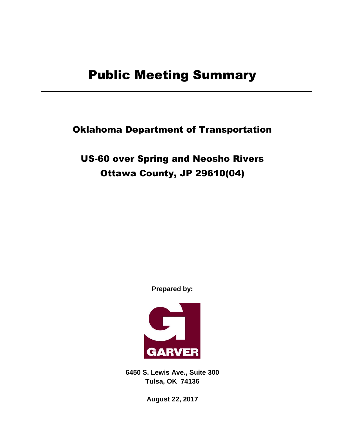Oklahoma Department of Transportation

US-60 over Spring and Neosho Rivers Ottawa County, JP 29610(04)

**Prepared by:**



**6450 S. Lewis Ave., Suite 300 Tulsa, OK 74136**

**August 22, 2017**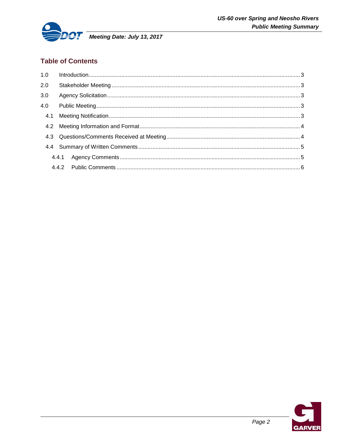

# **Table of Contents**

| 1.0 |  |
|-----|--|
| 2.0 |  |
| 3.0 |  |
| 4.0 |  |
|     |  |
|     |  |
|     |  |
|     |  |
|     |  |
|     |  |

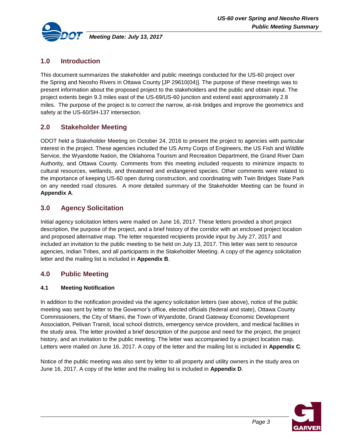

# <span id="page-2-0"></span>**1.0 Introduction**

This document summarizes the stakeholder and public meetings conducted for the US-60 project over the Spring and Neosho Rivers in Ottawa County [JP 29610(04)]. The purpose of these meetings was to present information about the proposed project to the stakeholders and the public and obtain input. The project extents begin 9.3 miles east of the US-69/US-60 junction and extend east approximately 2.8 miles. The purpose of the project is to correct the narrow, at-risk bridges and improve the geometrics and safety at the US-60/SH-137 intersection.

# <span id="page-2-1"></span>**2.0 Stakeholder Meeting**

ODOT held a Stakeholder Meeting on October 24, 2016 to present the project to agencies with particular interest in the project. These agencies included the US Army Corps of Engineers, the US Fish and Wildlife Service, the Wyandotte Nation, the Oklahoma Tourism and Recreation Department, the Grand River Dam Authority, and Ottawa County. Comments from this meeting included requests to minimize impacts to cultural resources, wetlands, and threatened and endangered species. Other comments were related to the importance of keeping US-60 open during construction, and coordinating with Twin Bridges State Park on any needed road closures. A more detailed summary of the Stakeholder Meeting can be found in **Appendix A**.

# <span id="page-2-2"></span>**3.0 Agency Solicitation**

Initial agency solicitation letters were mailed on June 16, 2017. These letters provided a short project description, the purpose of the project, and a brief history of the corridor with an enclosed project location and proposed alternative map. The letter requested recipients provide input by July 27, 2017 and included an invitation to the public meeting to be held on July 13, 2017. This letter was sent to resource agencies, Indian Tribes, and all participants in the Stakeholder Meeting. A copy of the agency solicitation letter and the mailing list is included in **Appendix B**.

### <span id="page-2-3"></span>**4.0 Public Meeting**

### <span id="page-2-4"></span>**4.1 Meeting Notification**

In addition to the notification provided via the agency solicitation letters (see above), notice of the public meeting was sent by letter to the Governor's office, elected officials (federal and state), Ottawa County Commissioners, the City of Miami, the Town of Wyandotte, Grand Gateway Economic Development Association, Pelivan Transit, local school districts, emergency service providers, and medical facilities in the study area. The letter provided a brief description of the purpose and need for the project, the project history, and an invitation to the public meeting. The letter was accompanied by a project location map. Letters were mailed on June 16, 2017. A copy of the letter and the mailing list is included in **Appendix C**.

Notice of the public meeting was also sent by letter to all property and utility owners in the study area on June 16, 2017. A copy of the letter and the mailing list is included in **Appendix D**.

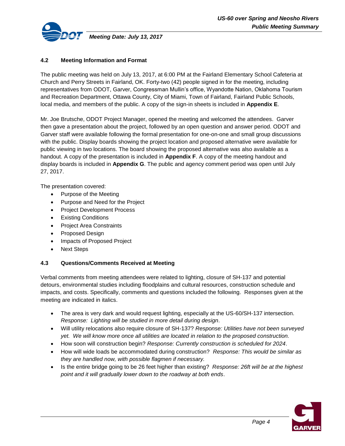

### <span id="page-3-0"></span>**4.2 Meeting Information and Format**

The public meeting was held on July 13, 2017, at 6:00 PM at the Fairland Elementary School Cafeteria at Church and Perry Streets in Fairland, OK. Forty-two (42) people signed in for the meeting, including representatives from ODOT, Garver, Congressman Mullin's office, Wyandotte Nation, Oklahoma Tourism and Recreation Department, Ottawa County, City of Miami, Town of Fairland, Fairland Public Schools, local media, and members of the public. A copy of the sign-in sheets is included in **Appendix E**.

Mr. Joe Brutsche, ODOT Project Manager, opened the meeting and welcomed the attendees. Garver then gave a presentation about the project, followed by an open question and answer period. ODOT and Garver staff were available following the formal presentation for one-on-one and small group discussions with the public. Display boards showing the project location and proposed alternative were available for public viewing in two locations. The board showing the proposed alternative was also available as a handout. A copy of the presentation is included in **Appendix F**. A copy of the meeting handout and display boards is included in **Appendix G**. The public and agency comment period was open until July 27, 2017.

The presentation covered:

- Purpose of the Meeting
- Purpose and Need for the Project
- Project Development Process
- **•** Existing Conditions
- Project Area Constraints
- Proposed Design
- Impacts of Proposed Project
- Next Steps

#### <span id="page-3-1"></span>**4.3 Questions/Comments Received at Meeting**

Verbal comments from meeting attendees were related to lighting, closure of SH-137 and potential detours, environmental studies including floodplains and cultural resources, construction schedule and impacts, and costs. Specifically, comments and questions included the following. Responses given at the meeting are indicated in italics.

- The area is very dark and would request lighting, especially at the US-60/SH-137 intersection. *Response: Lighting will be studied in more detail during design*.
- Will utility relocations also require closure of SH-137? *Response: Utilities have not been surveyed yet. We will know more once all utilities are located in relation to the proposed construction.*
- How soon will construction begin? *Response: Currently construction is scheduled for 2024*.
- How will wide loads be accommodated during construction? *Response: This would be similar as they are handled now, with possible flagmen if necessary.*
- Is the entire bridge going to be 26 feet higher than existing? *Response: 26ft will be at the highest point and it will gradually lower down to the roadway at both ends*.

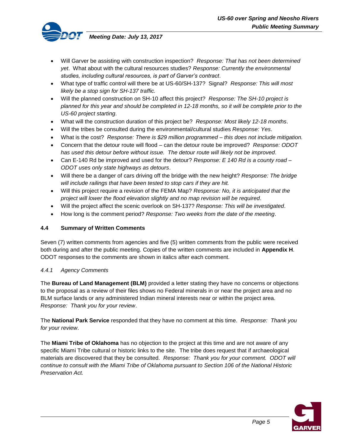

- Will Garver be assisting with construction inspection? *Response: That has not been determined yet*. What about with the cultural resources studies? *Response: Currently the environmental studies, including cultural resources, is part of Garver's contract*.
- What type of traffic control will there be at US-60/SH-137? Signal? *Response: This will most likely be a stop sign for SH-137 traffic.*
- Will the planned construction on SH-10 affect this project? *Response: The SH-10 project is planned for this year and should be completed in 12-18 months, so it will be complete prior to the US-60 project starting*.
- What will the construction duration of this project be? *Response: Most likely 12-18 months*.
- Will the tribes be consulted during the environmental/cultural studies *Response: Yes*.
- What is the cost? *Response: There is \$29 million programmed – this does not include mitigation.*
- Concern that the detour route will flood can the detour route be improved? *Response: ODOT has used this detour before without issue. The detour route will likely not be improved*.
- Can E-140 Rd be improved and used for the detour? *Response: E 140 Rd is a county road – ODOT uses only state highways as detours*.
- Will there be a danger of cars driving off the bridge with the new height? *Response: The bridge will include railings that have been tested to stop cars if they are hit.*
- Will this project require a revision of the FEMA Map? *Response: No, it is anticipated that the project will lower the flood elevation slightly and no map revision will be required*.
- Will the project affect the scenic overlook on SH-137? *Response: This will be investigated*.
- How long is the comment period? *Response: Two weeks from the date of the meeting*.

#### <span id="page-4-0"></span>**4.4 Summary of Written Comments**

Seven (7) written comments from agencies and five (5) written comments from the public were received both during and after the public meeting. Copies of the written comments are included in **Appendix H**. ODOT responses to the comments are shown in italics after each comment.

#### <span id="page-4-1"></span>*4.4.1 Agency Comments*

The **Bureau of Land Management (BLM)** provided a letter stating they have no concerns or objections to the proposal as a review of their files shows no Federal minerals in or near the project area and no BLM surface lands or any administered Indian mineral interests near or within the project area. *Response: Thank you for your review*.

The **National Park Service** responded that they have no comment at this time. *Response: Thank you for your review*.

The **Miami Tribe of Oklahoma** has no objection to the project at this time and are not aware of any specific Miami Tribe cultural or historic links to the site. The tribe does request that if archaeological materials are discovered that they be consulted. *Response: Thank you for your comment. ODOT will continue to consult with the Miami Tribe of Oklahoma pursuant to Section 106 of the National Historic Preservation Act.*

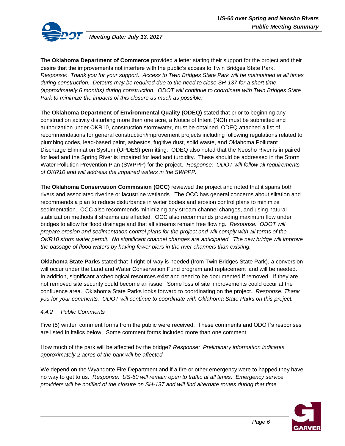

*Meeting Date: July 13, 2017*

The **Oklahoma Department of Commerce** provided a letter stating their support for the project and their desire that the improvements not interfere with the public's access to Twin Bridges State Park. *Response: Thank you for your support. Access to Twin Bridges State Park will be maintained at all times during construction. Detours may be required due to the need to close SH-137 for a short time (approximately 6 months) during construction. ODOT will continue to coordinate with Twin Bridges State Park to minimize the impacts of this closure as much as possible.*

The **Oklahoma Department of Environmental Quality (ODEQ)** stated that prior to beginning any construction activity disturbing more than one acre, a Notice of Intent (NOI) must be submitted and authorization under OKR10, construction stormwater, must be obtained. ODEQ attached a list of recommendations for general construction/improvement projects including following regulations related to plumbing codes, lead-based paint, asbestos, fugitive dust, solid waste, and Oklahoma Pollutant Discharge Elimination System (OPDES) permitting. ODEQ also noted that the Neosho River is impaired for lead and the Spring River is impaired for lead and turbidity. These should be addressed in the Storm Water Pollution Prevention Plan (SWPPP) for the project. *Response: ODOT will follow all requirements of OKR10 and will address the impaired waters in the SWPPP.*

The **Oklahoma Conservation Commission (OCC)** reviewed the project and noted that it spans both rivers and associated riverine or lacustrine wetlands. The OCC has general concerns about siltation and recommends a plan to reduce disturbance in water bodies and erosion control plans to minimize sedimentation. OCC also recommends minimizing any stream channel changes, and using natural stabilization methods if streams are affected. OCC also recommends providing maximum flow under bridges to allow for flood drainage and that all streams remain free flowing. *Response: ODOT will prepare erosion and sedimentation control plans for the project and will comply with all terms of the OKR10 storm water permit. No significant channel changes are anticipated. The new bridge will improve the passage of flood waters by having fewer piers in the river channels than existing.*

**Oklahoma State Parks** stated that if right-of-way is needed (from Twin Bridges State Park), a conversion will occur under the Land and Water Conservation Fund program and replacement land will be needed. In addition, significant archeological resources exist and need to be documented if removed. If they are not removed site security could become an issue. Some loss of site improvements could occur at the confluence area. Oklahoma State Parks looks forward to coordinating on the project. *Response: Thank you for your comments. ODOT will continue to coordinate with Oklahoma State Parks on this project.*

### <span id="page-5-0"></span>*4.4.2 Public Comments*

Five (5) written comment forms from the public were received. These comments and ODOT's responses are listed in italics below. Some comment forms included more than one comment.

How much of the park will be affected by the bridge? *Response: Preliminary information indicates approximately 2 acres of the park will be affected.* 

We depend on the Wyandotte Fire Department and if a fire or other emergency were to happed they have no way to get to us. *Response: US-60 will remain open to traffic at all times. Emergency service providers will be notified of the closure on SH-137 and will find alternate routes during that time.*